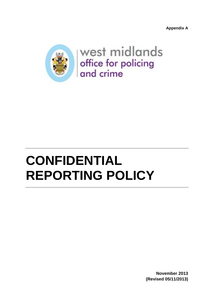**Appendix A**



west midlands office for policing and crime

# **CONFIDENTIAL REPORTING POLICY**

**November 2013 (Revised 05/11/2013)**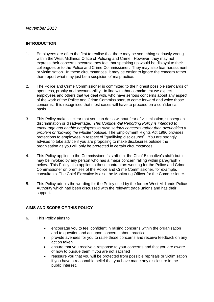#### *November 2013*

#### **INTRODUCTION**

- 1. Employees are often the first to realise that there may be something seriously wrong within the West Midlands Office of Policing and Crime. However, they may not express their concerns because they feel that speaking up would be disloyal to their colleagues or to the Police and Crime Commissioner. They may also fear harassment or victimisation. In these circumstances, it may be easier to ignore the concern rather than report what may just be a suspicion of malpractice.
- 2. The Police and Crime Commissioner is committed to the highest possible standards of openness, probity and accountability. In line with that commitment we expect employees and others that we deal with, who have serious concerns about any aspect of the work of the Police and Crime Commissioner, to come forward and voice those concerns. It is recognised that most cases will have to proceed on a confidential basis.
- 3. This Policy makes it clear that you can do so without fear of victimisation, subsequent discrimination or disadvantage. *This Confidential Reporting Policy is intended to encourage and enable employees to raise serious concerns rather than overlooking a problem or "blowing the whistle" outside.* The Employment Rights Act 1996 provides protections to employees in respect of "qualifying disclosures". You are strongly advised to take advice if you are proposing to make disclosures outside the organisation as you will only be protected in certain circumstances.
- 4. This Policy applies to the Commissioner's staff (i.e. the Chief Executive's staff) but it may be invoked by any person who has a major concern falling within paragraph 7 below. This Policy also applies to those contractors working for the Police and Crime Commissioner on premises of the Police and Crime Commissioner, for example, consultants. The Chief Executive is also the Monitoring Officer for the Commissioner.
- 5. This Policy adopts the wording for the Policy used by the former West Midlands Police Authority which had been discussed with the relevant trade unions and has their support.

# **AIMS AND SCOPE OF THIS POLICY**

- 6. This Policy aims to:
	- encourage you to feel confident in raising concerns within the organisation and to question and act upon concerns about practice
	- provide avenues for you to raise those concerns and receive feedback on any  $\bullet$ action taken
	- ensure that you receive a response to your concerns and that you are aware of how to pursue them if you are not satisfied
	- reassure you that you will be protected from possible reprisals or victimisation if you have a reasonable belief that you have made any disclosure in the public interest.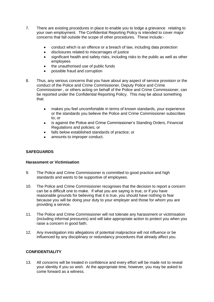- 7. There are existing procedures in place to enable you to lodge a grievance relating to your own employment. The Confidential Reporting Policy is intended to cover major concerns that fall outside the scope of other procedures. These include:
	- conduct which is an offence or a breach of law, including data protection
	- disclosures related to miscarriages of justice  $\bullet$
	- $\bullet$ significant health and safety risks, including risks to the public as well as other employees
	- the unauthorised use of public funds  $\bullet$
	- possible fraud and corruption
- 8. Thus, any serious concerns that you have about any aspect of service provision or the conduct of the Police and Crime Commissioner, Deputy Police and Crime Commissioner , or others acting on behalf of the Police and Crime Commissioner, can be reported under the Confidential Reporting Policy. This may be about something that:
	- makes you feel uncomfortable in terms of known standards, your experience or the standards you believe the Police and Crime Commissioner subscribes to; or
	- is against the Police and Crime Commissioner's Standing Orders, Financial  $\bullet$ Regulations and policies; or
	- falls below established standards of practice; or
	- amounts to improper conduct.

# **SAFEGUARDS**

#### **Harassment or Victimisation**

- 9. The Police and Crime Commissioner is committed to good practice and high standards and wants to be supportive of employees.
- 10. The Police and Crime Commissioner recognises that the decision to report a concern can be a difficult one to make. If what you are saying is true, or if you have reasonable grounds for believing that it is true, you should have nothing to fear because you will be doing your duty to your employer and those for whom you are providing a service.
- 11. The Police and Crime Commissioner will not tolerate any harassment or victimisation (including informal pressures) and will take appropriate action to protect you when you raise a concern in good faith.
- 12. Any investigation into allegations of potential malpractice will not influence or be influenced by any disciplinary or redundancy procedures that already affect you.

#### **CONFIDENTIALITY**

13. All concerns will be treated in confidence and every effort will be made not to reveal your identity if you so wish. At the appropriate time, however, you may be asked to come forward as a witness.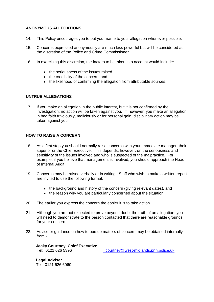#### **ANONYMOUS ALLEGATIONS**

- 14. This Policy encourages you to put your name to your allegation whenever possible.
- 15. Concerns expressed anonymously are much less powerful but will be considered at the discretion of the Police and Crime Commissioner.
- 16. In exercising this discretion, the factors to be taken into account would include:
	- the seriousness of the issues raised
	- the credibility of the concern; and
	- the likelihood of confirming the allegation from attributable sources.

#### **UNTRUE ALLEGATIONS**

17. If you make an allegation in the public interest, but it is not confirmed by the investigation, no action will be taken against you. If, however, you make an allegation in bad faith frivolously, maliciously or for personal gain, disciplinary action may be taken against you.

#### **HOW TO RAISE A CONCERN**

- 18. As a first step you should normally raise concerns with your immediate manager, their superior or the Chief Executive. This depends, however, on the seriousness and sensitivity of the issues involved and who is suspected of the malpractice. For example, if you believe that management is involved, you should approach the Head of Internal Audit.
- 19. Concerns may be raised verbally or in writing. Staff who wish to make a written report are invited to use the following format:
	- the background and history of the concern (giving relevant dates), and
	- the reason why you are particularly concerned about the situation.
- 20. The earlier you express the concern the easier it is to take action.
- 21. Although you are not expected to prove beyond doubt the truth of an allegation, you will need to demonstrate to the person contacted that there are reasonable grounds for your concern.
- 22. Advice or guidance on how to pursue matters of concern may be obtained internally from:-

**Jacky Courtney, Chief Executive**

i.courtney@west-midlands.pnn.police.uk

**Legal Adviser**  Tel: 0121 626 6060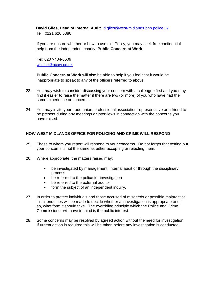# **David Giles, Head of Internal Audit** [d.giles@west-midlands.pnn.police.uk](mailto:d.giles@west-midlands.pnn.police.uk)

Tel: 0121 626 5380

If you are unsure whether or how to use this Policy, you may seek free confidential help from the independent charity, **Public Concern at Work**

Tel: 0207-404-6609 [whistle@pcaw.co.uk](mailto:whistle@pcaw.co.uk)

**Public Concern at Work** will also be able to help if you feel that it would be inappropriate to speak to any of the officers referred to above.

- 23. You may wish to consider discussing your concern with a colleague first and you may find it easier to raise the matter if there are two (or more) of you who have had the same experience or concerns.
- 24. You may invite your trade union, professional association representative or a friend to be present during any meetings or interviews in connection with the concerns you have raised.

# **HOW WEST MIDLANDS OFFICE FOR POLICING AND CRIME WILL RESPOND**

- 25. Those to whom you report will respond to your concerns. Do not forget that testing out your concerns is not the same as either accepting or rejecting them.
- 26. Where appropriate, the matters raised may:
	- be investigated by management, internal audit or through the disciplinary  $\bullet$ process
	- $\bullet$ be referred to the police for investigation
	- be referred to the external auditor
	- form the subject of an independent inquiry.  $\bullet$
- 27. In order to protect individuals and those accused of misdeeds or possible malpractice, initial enquiries will be made to decide whether an investigation is appropriate and, if so, what form it should take. The overriding principle which the Police and Crime Commissioner will have in mind is the public interest.
- 28. Some concerns may be resolved by agreed action without the need for investigation. If urgent action is required this will be taken before any investigation is conducted.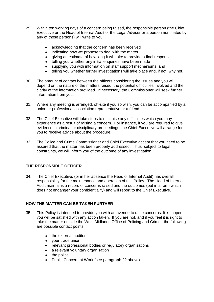- 29. Within ten working days of a concern being raised, the responsible person (the Chief Executive or the Head of Internal Audit or the Legal Adviser or a person nominated by any of those persons) will write to you:
	- acknowledging that the concern has been received
	- indicating how we propose to deal with the matter  $\bullet$
	- $\bullet$ giving an estimate of how long it will take to provide a final response
	- $\bullet$ telling you whether any initial enquiries have been made
	- supplying you with information on staff support mechanisms, and  $\bullet$
	- telling you whether further investigations will take place and, if not, why not.
- 30. The amount of contact between the officers considering the issues and you will depend on the nature of the matters raised, the potential difficulties involved and the clarity of the information provided. If necessary, the Commissioner will seek further information from you.
- 31. Where any meeting is arranged, off-site if you so wish, you can be accompanied by a union or professional association representative or a friend.
- 32. The Chief Executive will take steps to minimise any difficulties which you may experience as a result of raising a concern. For instance, if you are required to give evidence in criminal or disciplinary proceedings, the Chief Executive will arrange for you to receive advice about the procedure.
- 33. The Police and Crime Commissioner and Chief Executive accept that you need to be assured that the matter has been properly addressed. Thus, subject to legal constraints, we will inform you of the outcome of any investigation.

# **THE RESPONSIBLE OFFICER**

34. The Chief Executive, (or in her absence the Head of Internal Audit) has overall responsibility for the maintenance and operation of this Policy. The Head of Internal Audit maintains a record of concerns raised and the outcomes (but in a form which does not endanger your confidentiality) and will report to the Chief Executive.

#### **HOW THE MATTER CAN BE TAKEN FURTHER**

- 35. This Policy is intended to provide you with an avenue to raise concerns. It is hoped you will be satisfied with any action taken. If you are not, and if you feel it is right to take the matter outside the West Midlands Office of Policing and Crime , the following are possible contact points:
	- the external auditor  $\bullet$
	- your trade union
	- relevant professional bodies or regulatory organisations
	- a relevant voluntary organisation
	- the police
	- Public Concern at Work (see paragraph 22 above).